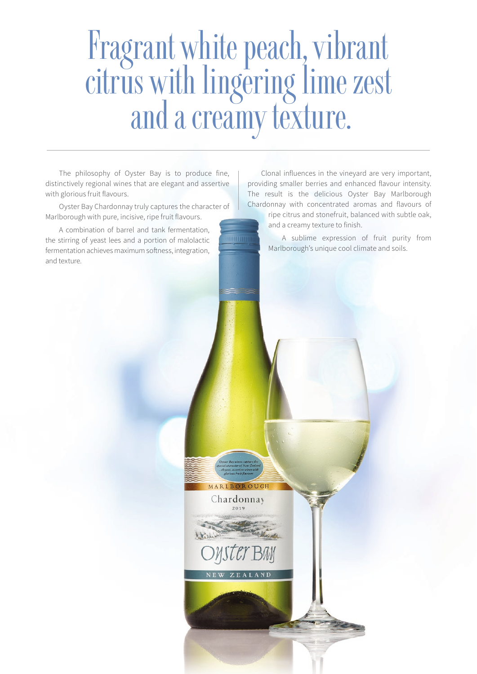# Fragrant white peach, vibrant citrus with lingering lime zest and a creamy texture.

MARLBOROUGH Chardonnay  $2010$ 

The philosophy of Oyster Bay is to produce fine, distinctively regional wines that are elegant and assertive with glorious fruit flavours.

Oyster Bay Chardonnay truly captures the character of Marlborough with pure, incisive, ripe fruit flavours.

A combination of barrel and tank fermentation, the stirring of yeast lees and a portion of malolactic fermentation achieves maximum softness, integration, and texture.

Clonal influences in the vineyard are very important, providing smaller berries and enhanced flavour intensity. The result is the delicious Oyster Bay Marlborough Chardonnay with concentrated aromas and flavours of

ripe citrus and stonefruit, balanced with subtle oak, and a creamy texture to finish.

A sublime expression of fruit purity from Marlborough's unique cool climate and soils.